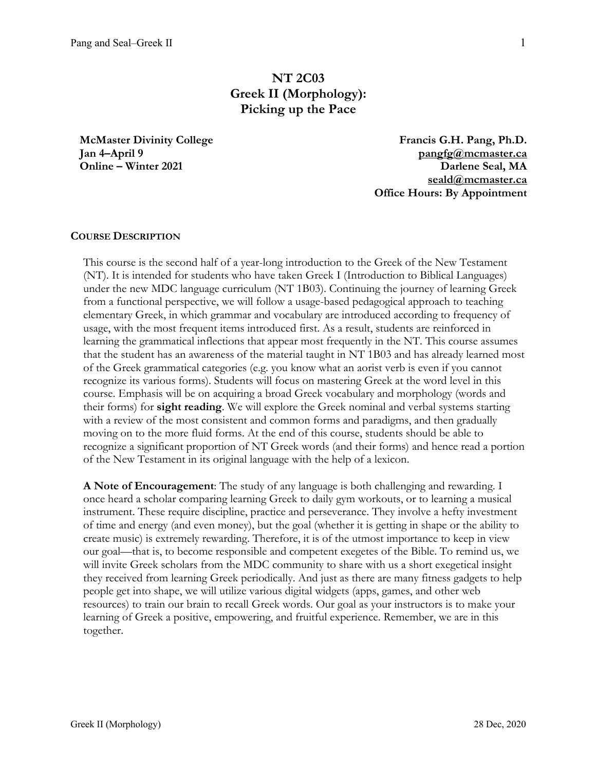# **NT 2C03 Greek II (Morphology): Picking up the Pace**

**McMaster Divinity College Jan 4–April 9 Online – Winter 2021**

**Francis G.H. Pang, Ph.D. pangfg@mcmaster.ca Darlene Seal, MA seald@mcmaster.ca Office Hours: By Appointment**

### **COURSE DESCRIPTION**

This course is the second half of a year-long introduction to the Greek of the New Testament (NT). It is intended for students who have taken Greek I (Introduction to Biblical Languages) under the new MDC language curriculum (NT 1B03). Continuing the journey of learning Greek from a functional perspective, we will follow a usage-based pedagogical approach to teaching elementary Greek, in which grammar and vocabulary are introduced according to frequency of usage, with the most frequent items introduced first. As a result, students are reinforced in learning the grammatical inflections that appear most frequently in the NT. This course assumes that the student has an awareness of the material taught in NT 1B03 and has already learned most of the Greek grammatical categories (e.g. you know what an aorist verb is even if you cannot recognize its various forms). Students will focus on mastering Greek at the word level in this course. Emphasis will be on acquiring a broad Greek vocabulary and morphology (words and their forms) for **sight reading**. We will explore the Greek nominal and verbal systems starting with a review of the most consistent and common forms and paradigms, and then gradually moving on to the more fluid forms. At the end of this course, students should be able to recognize a significant proportion of NT Greek words (and their forms) and hence read a portion of the New Testament in its original language with the help of a lexicon.

**A Note of Encouragement**: The study of any language is both challenging and rewarding. I once heard a scholar comparing learning Greek to daily gym workouts, or to learning a musical instrument. These require discipline, practice and perseverance. They involve a hefty investment of time and energy (and even money), but the goal (whether it is getting in shape or the ability to create music) is extremely rewarding. Therefore, it is of the utmost importance to keep in view our goal—that is, to become responsible and competent exegetes of the Bible. To remind us, we will invite Greek scholars from the MDC community to share with us a short exegetical insight they received from learning Greek periodically. And just as there are many fitness gadgets to help people get into shape, we will utilize various digital widgets (apps, games, and other web resources) to train our brain to recall Greek words. Our goal as your instructors is to make your learning of Greek a positive, empowering, and fruitful experience. Remember, we are in this together.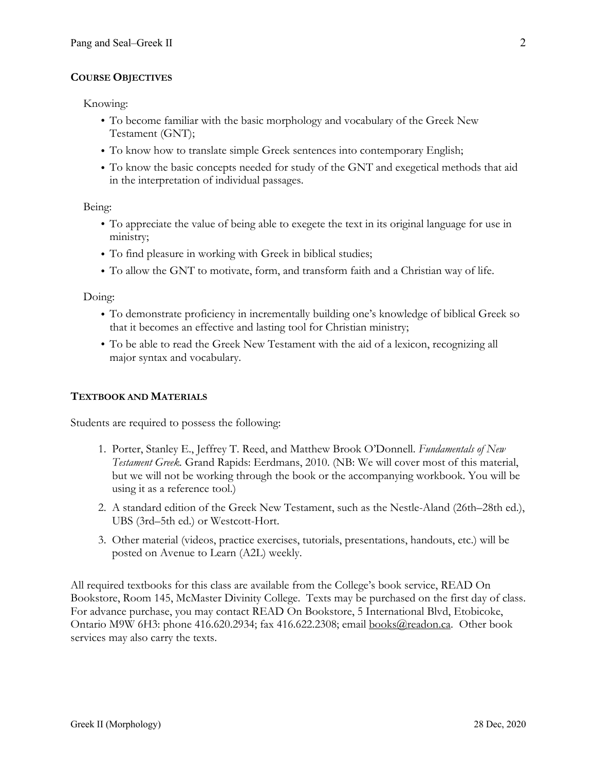# **COURSE OBJECTIVES**

Knowing:

- To become familiar with the basic morphology and vocabulary of the Greek New Testament (GNT);
- To know how to translate simple Greek sentences into contemporary English;
- To know the basic concepts needed for study of the GNT and exegetical methods that aid in the interpretation of individual passages.

Being:

- To appreciate the value of being able to exegete the text in its original language for use in ministry;
- To find pleasure in working with Greek in biblical studies;
- To allow the GNT to motivate, form, and transform faith and a Christian way of life.

Doing:

- To demonstrate proficiency in incrementally building one's knowledge of biblical Greek so that it becomes an effective and lasting tool for Christian ministry;
- To be able to read the Greek New Testament with the aid of a lexicon, recognizing all major syntax and vocabulary.

# **TEXTBOOK AND MATERIALS**

Students are required to possess the following:

- 1. Porter, Stanley E., Jeffrey T. Reed, and Matthew Brook O'Donnell. *Fundamentals of New Testament Greek.* Grand Rapids: Eerdmans, 2010. (NB: We will cover most of this material, but we will not be working through the book or the accompanying workbook. You will be using it as a reference tool.)
- 2. A standard edition of the Greek New Testament, such as the Nestle-Aland (26th–28th ed.), UBS (3rd–5th ed.) or Westcott-Hort.
- 3. Other material (videos, practice exercises, tutorials, presentations, handouts, etc.) will be posted on Avenue to Learn (A2L) weekly.

All required textbooks for this class are available from the College's book service, READ On Bookstore, Room 145, McMaster Divinity College. Texts may be purchased on the first day of class. For advance purchase, you may contact READ On Bookstore, 5 International Blvd, Etobicoke, Ontario M9W 6H3: phone 416.620.2934; fax 416.622.2308; email books@readon.ca. Other book services may also carry the texts.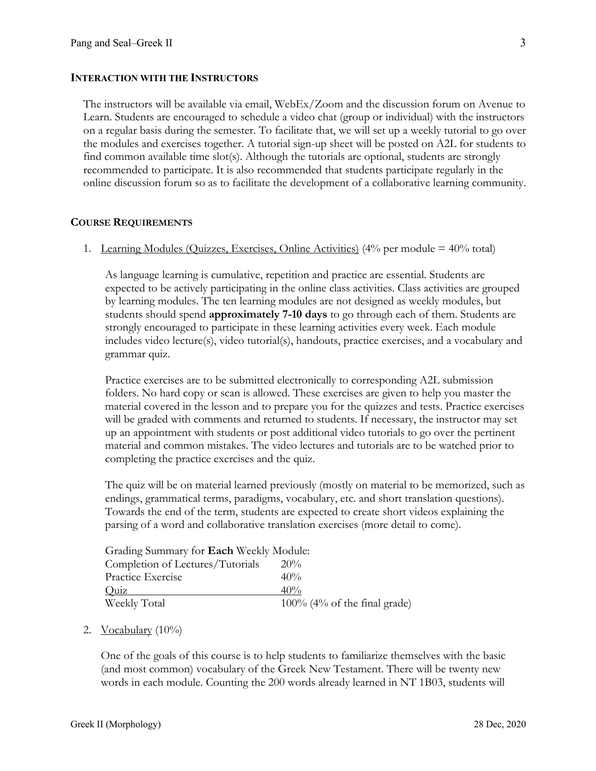### **INTERACTION WITH THE INSTRUCTORS**

The instructors will be available via email, WebEx/Zoom and the discussion forum on Avenue to Learn. Students are encouraged to schedule a video chat (group or individual) with the instructors on a regular basis during the semester. To facilitate that, we will set up a weekly tutorial to go over the modules and exercises together. A tutorial sign-up sheet will be posted on A2L for students to find common available time slot(s). Although the tutorials are optional, students are strongly recommended to participate. It is also recommended that students participate regularly in the online discussion forum so as to facilitate the development of a collaborative learning community.

### **COURSE REQUIREMENTS**

1. Learning Modules (Quizzes, Exercises, Online Activities)  $(4\%$  per module =  $40\%$  total)

As language learning is cumulative, repetition and practice are essential. Students are expected to be actively participating in the online class activities. Class activities are grouped by learning modules. The ten learning modules are not designed as weekly modules, but students should spend **approximately 7-10 days** to go through each of them. Students are strongly encouraged to participate in these learning activities every week. Each module includes video lecture(s), video tutorial(s), handouts, practice exercises, and a vocabulary and grammar quiz.

Practice exercises are to be submitted electronically to corresponding A2L submission folders. No hard copy or scan is allowed. These exercises are given to help you master the material covered in the lesson and to prepare you for the quizzes and tests. Practice exercises will be graded with comments and returned to students. If necessary, the instructor may set up an appointment with students or post additional video tutorials to go over the pertinent material and common mistakes. The video lectures and tutorials are to be watched prior to completing the practice exercises and the quiz.

The quiz will be on material learned previously (mostly on material to be memorized, such as endings, grammatical terms, paradigms, vocabulary, etc. and short translation questions). Towards the end of the term, students are expected to create short videos explaining the parsing of a word and collaborative translation exercises (more detail to come).

| Grading Summary for Each Weekly Module: |                                 |  |  |  |
|-----------------------------------------|---------------------------------|--|--|--|
| Completion of Lectures/Tutorials        | $20\%$                          |  |  |  |
| Practice Exercise                       | 40%                             |  |  |  |
| Quiz                                    | 40%                             |  |  |  |
| Weekly Total                            | $100\%$ (4% of the final grade) |  |  |  |

### 2. Vocabulary  $(10\%)$

One of the goals of this course is to help students to familiarize themselves with the basic (and most common) vocabulary of the Greek New Testament. There will be twenty new words in each module. Counting the 200 words already learned in NT 1B03, students will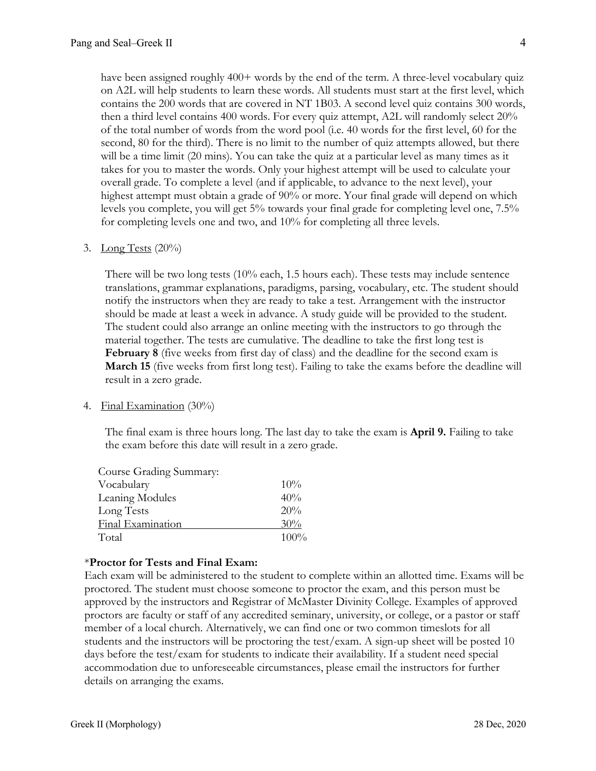have been assigned roughly 400+ words by the end of the term. A three-level vocabulary quiz on A2L will help students to learn these words. All students must start at the first level, which contains the 200 words that are covered in NT 1B03. A second level quiz contains 300 words, then a third level contains 400 words. For every quiz attempt, A2L will randomly select 20% of the total number of words from the word pool (i.e. 40 words for the first level, 60 for the second, 80 for the third). There is no limit to the number of quiz attempts allowed, but there will be a time limit (20 mins). You can take the quiz at a particular level as many times as it takes for you to master the words. Only your highest attempt will be used to calculate your overall grade. To complete a level (and if applicable, to advance to the next level), your highest attempt must obtain a grade of 90% or more. Your final grade will depend on which levels you complete, you will get 5% towards your final grade for completing level one, 7.5% for completing levels one and two, and 10% for completing all three levels.

### 3. Long Tests  $(20\%)$

There will be two long tests (10% each, 1.5 hours each). These tests may include sentence translations, grammar explanations, paradigms, parsing, vocabulary, etc. The student should notify the instructors when they are ready to take a test. Arrangement with the instructor should be made at least a week in advance. A study guide will be provided to the student. The student could also arrange an online meeting with the instructors to go through the material together. The tests are cumulative. The deadline to take the first long test is **February 8** (five weeks from first day of class) and the deadline for the second exam is **March 15** (five weeks from first long test). Failing to take the exams before the deadline will result in a zero grade.

#### 4. Final Examination (30%)

The final exam is three hours long. The last day to take the exam is **April 9.** Failing to take the exam before this date will result in a zero grade.

| Course Grading Summary: |      |
|-------------------------|------|
| Vocabulary              | 10%  |
| Leaning Modules         | 40%  |
| Long Tests              | 20%  |
| Final Examination       | 30%  |
| Total                   | 100% |

# \***Proctor for Tests and Final Exam:**

Each exam will be administered to the student to complete within an allotted time. Exams will be proctored. The student must choose someone to proctor the exam, and this person must be approved by the instructors and Registrar of McMaster Divinity College. Examples of approved proctors are faculty or staff of any accredited seminary, university, or college, or a pastor or staff member of a local church. Alternatively, we can find one or two common timeslots for all students and the instructors will be proctoring the test/exam. A sign-up sheet will be posted 10 days before the test/exam for students to indicate their availability. If a student need special accommodation due to unforeseeable circumstances, please email the instructors for further details on arranging the exams.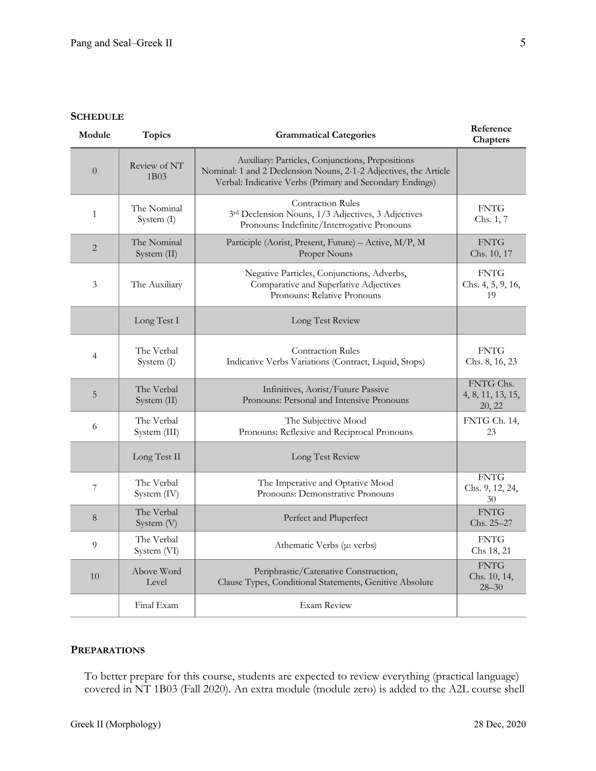### **SCHEDULE**

| Module         | <b>Topics</b>              | <b>Grammatical Categories</b>                                                                                                                                                    | Reference<br>Chapters                    |
|----------------|----------------------------|----------------------------------------------------------------------------------------------------------------------------------------------------------------------------------|------------------------------------------|
| $\overline{0}$ | Review of NT<br>1B03       | Auxiliary: Particles, Conjunctions, Prepositions<br>Nominal: 1 and 2 Declension Nouns, 2-1-2 Adjectives, the Article<br>Verbal: Indicative Verbs (Primary and Secondary Endings) |                                          |
| $\mathbf{1}$   | The Nominal<br>System (I)  | <b>Contraction Rules</b><br>3rd Declension Nouns, 1/3 Adjectives, 3 Adjectives<br>Pronouns: Indefinite/Interrogative Pronouns                                                    | <b>FNTG</b><br>Chs. 1, 7                 |
| $\overline{2}$ | The Nominal<br>System (II) | Participle (Aorist, Present, Future) - Active, M/P, M<br>Proper Nouns                                                                                                            | <b>FNTG</b><br>Chs. 10, 17               |
| 3              | The Auxiliary              | Negative Particles, Conjunctions, Adverbs,<br>Comparative and Superlative Adjectives<br>Pronouns: Relative Pronouns                                                              | <b>FNTG</b><br>Chs. 4, 5, 9, 16,<br>19   |
|                | Long Test I                | Long Test Review                                                                                                                                                                 |                                          |
| 4              | The Verbal<br>System (I)   | <b>Contraction Rules</b><br>Indicative Verbs Variations (Contract, Liquid, Stops)                                                                                                | <b>FNTG</b><br>Chs. 8, 16, 23            |
| 5              | The Verbal<br>System (II)  | Infinitives, Aorist/Future Passive<br>Pronouns: Personal and Intensive Pronouns                                                                                                  | FNTG Chs.<br>4, 8, 11, 13, 15,<br>20, 22 |
| 6              | The Verbal<br>System (III) | The Subjective Mood<br>Pronouns: Reflexive and Reciprocal Pronouns                                                                                                               | FNTG Ch. 14,<br>23                       |
|                | Long Test II               | Long Test Review                                                                                                                                                                 |                                          |
| 7              | The Verbal<br>System (IV)  | The Imperative and Optative Mood<br>Pronouns: Demonstrative Pronouns                                                                                                             | <b>FNTG</b><br>Chs. 9, 12, 24,<br>30     |
| 8              | The Verbal<br>System (V)   | Perfect and Pluperfect                                                                                                                                                           | <b>FNTG</b><br>Chs. 25-27                |
| 9              | The Verbal<br>System (VI)  | Athematic Verbs (µ verbs)                                                                                                                                                        | <b>FNTG</b><br>Chs 18, 21                |
| 10             | Above Word<br>Level        | Periphrastic/Catenative Construction,<br>Clause Types, Conditional Statements, Genitive Absolute                                                                                 | <b>FNTG</b><br>Chs. 10, 14,<br>$28 - 30$ |
|                | Final Exam                 | <b>Exam Review</b>                                                                                                                                                               |                                          |

# **PREPARATIONS**

To better prepare for this course, students are expected to review everything (practical language) covered in NT 1B03 (Fall 2020). An extra module (module zero) is added to the A2L course shell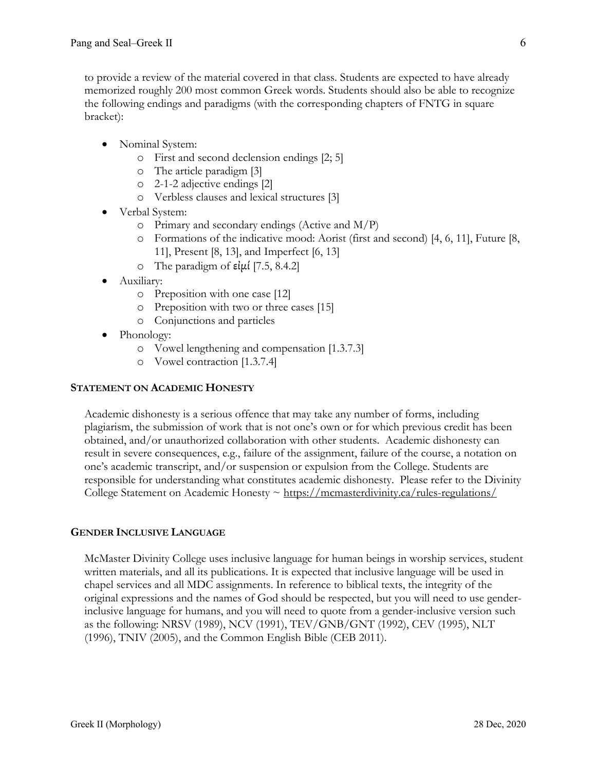to provide a review of the material covered in that class. Students are expected to have already memorized roughly 200 most common Greek words. Students should also be able to recognize the following endings and paradigms (with the corresponding chapters of FNTG in square bracket):

- Nominal System:
	- o First and second declension endings [2; 5]
	- o The article paradigm [3]
	- o 2-1-2 adjective endings [2]
	- o Verbless clauses and lexical structures [3]
- Verbal System:
	- o Primary and secondary endings (Active and M/P)
	- o Formations of the indicative mood: Aorist (first and second) [4, 6, 11], Future [8, 11], Present [8, 13], and Imperfect [6, 13]
	- o The paradigm of  $\varepsilon$ *i* $\mu$ *i* [7.5, 8.4.2]
- Auxiliary:
	- o Preposition with one case [12]
	- o Preposition with two or three cases [15]
	- o Conjunctions and particles
- Phonology:
	- o Vowel lengthening and compensation [1.3.7.3]
	- o Vowel contraction [1.3.7.4]

# **STATEMENT ON ACADEMIC HONESTY**

Academic dishonesty is a serious offence that may take any number of forms, including plagiarism, the submission of work that is not one's own or for which previous credit has been obtained, and/or unauthorized collaboration with other students. Academic dishonesty can result in severe consequences, e.g., failure of the assignment, failure of the course, a notation on one's academic transcript, and/or suspension or expulsion from the College. Students are responsible for understanding what constitutes academic dishonesty. Please refer to the Divinity College Statement on Academic Honesty  $\sim$  https://mcmasterdivinity.ca/rules-regulations/

# **GENDER INCLUSIVE LANGUAGE**

McMaster Divinity College uses inclusive language for human beings in worship services, student written materials, and all its publications. It is expected that inclusive language will be used in chapel services and all MDC assignments. In reference to biblical texts, the integrity of the original expressions and the names of God should be respected, but you will need to use genderinclusive language for humans, and you will need to quote from a gender-inclusive version such as the following: NRSV (1989), NCV (1991), TEV/GNB/GNT (1992), CEV (1995), NLT (1996), TNIV (2005), and the Common English Bible (CEB 2011).